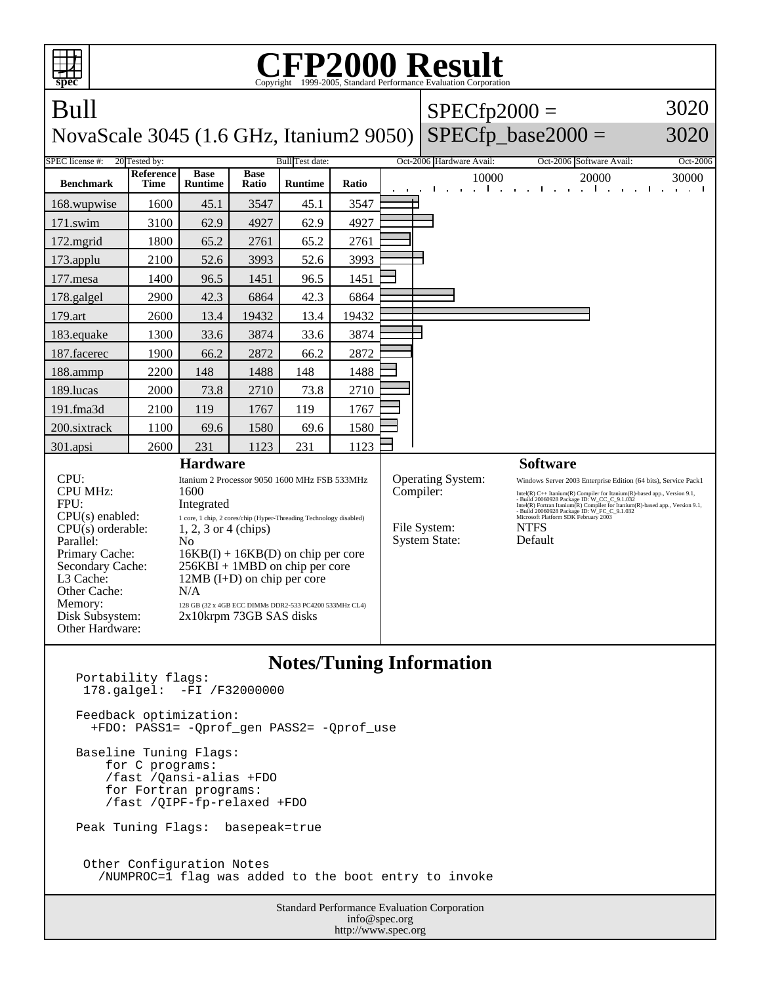

Standard Performance Evaluation Corporation info@spec.org Portability flags: 178.galgel: -FI /F32000000 Feedback optimization: +FDO: PASS1= -Qprof\_gen PASS2= -Qprof\_use Baseline Tuning Flags: for C programs: /fast /Qansi-alias +FDO for Fortran programs: /fast /QIPF-fp-relaxed +FDO Peak Tuning Flags: basepeak=true Other Configuration Notes /NUMPROC=1 flag was added to the boot entry to invoke

http://www.spec.org